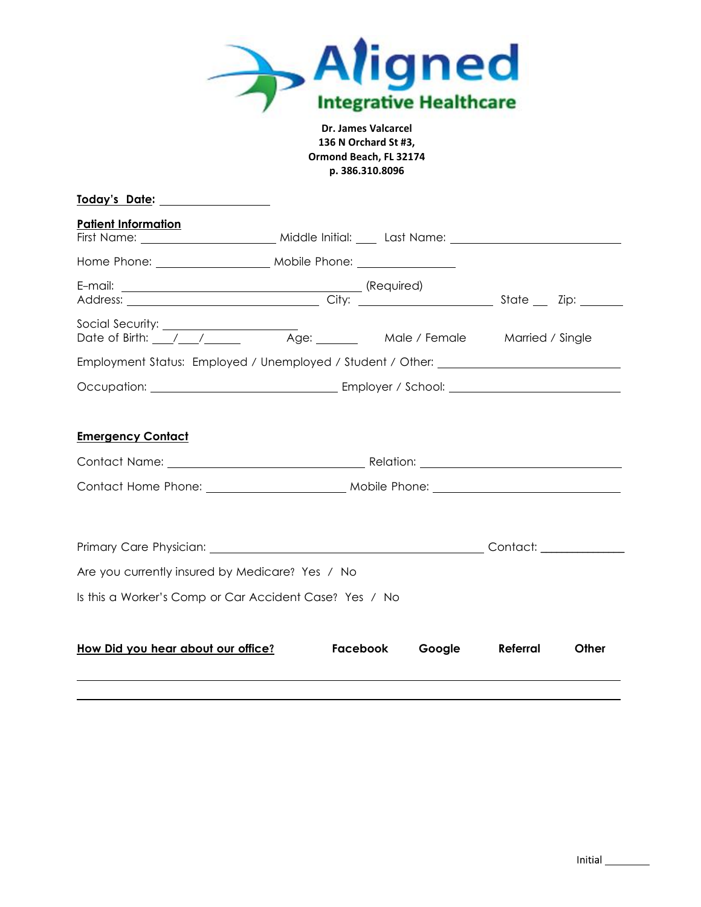

### **Dr. James Valcarcel 136 N Orchard St #3, Ormond Beach, FL 32174 p. 386.310.8096**

| <u> Today's Date: _________________</u>                                          |                    |          |       |
|----------------------------------------------------------------------------------|--------------------|----------|-------|
| <b>Patient Information</b>                                                       |                    |          |       |
| Home Phone: ___________________________ Mobile Phone: __________________________ |                    |          |       |
|                                                                                  |                    |          |       |
|                                                                                  |                    |          |       |
| Employment Status: Employed / Unemployed / Student / Other: ____________________ |                    |          |       |
|                                                                                  |                    |          |       |
| <b>Emergency Contact</b>                                                         |                    |          |       |
|                                                                                  |                    |          |       |
|                                                                                  |                    |          |       |
|                                                                                  |                    |          |       |
|                                                                                  |                    |          |       |
| Are you currently insured by Medicare? Yes / No                                  |                    |          |       |
| Is this a Worker's Comp or Car Accident Case? Yes / No                           |                    |          |       |
| How Did you hear about our office?                                               | Google<br>Facebook | Referral | Other |
|                                                                                  |                    |          |       |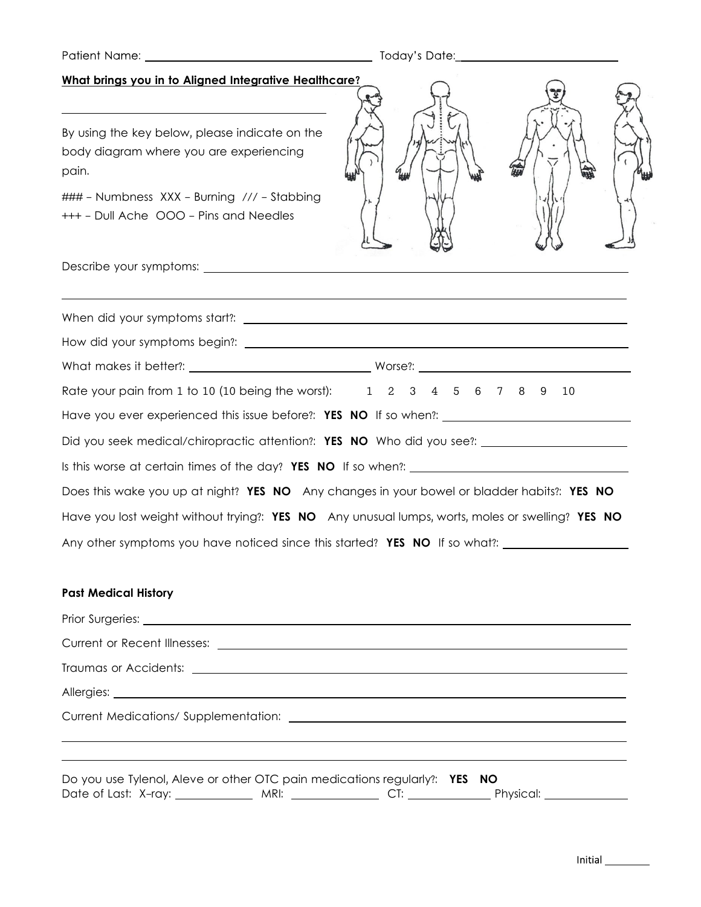# **What brings you in to Aligned Integrative Healthcare?**

By using the key below, please indicate on the body diagram where you are experiencing pain.

### - Numbness XXX - Burning /// - Stabbing +++ - Dull Ache OOO - Pins and Needles



Describe your symptoms:

## **Past Medical History**

| Do you use Tylenol, Aleve or other OTC pain medications regularly?: YES NO |  |  |
|----------------------------------------------------------------------------|--|--|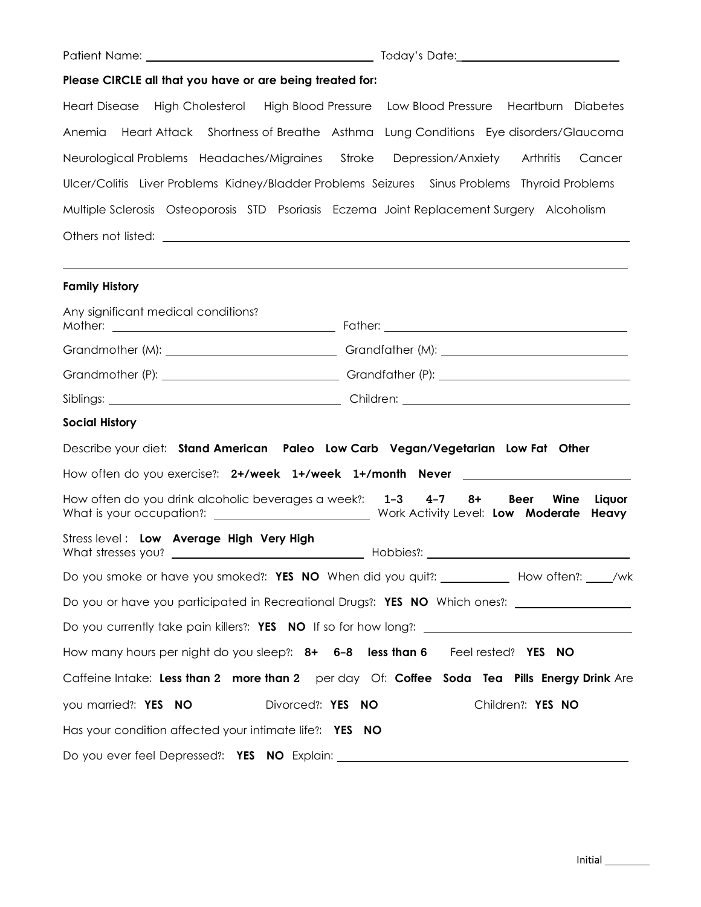| Please CIRCLE all that you have or are being treated for:                                 |                                                                                                                                                                                                                                |  |  |
|-------------------------------------------------------------------------------------------|--------------------------------------------------------------------------------------------------------------------------------------------------------------------------------------------------------------------------------|--|--|
|                                                                                           | Heart Disease High Cholesterol High Blood Pressure Low Blood Pressure Heartburn Diabetes                                                                                                                                       |  |  |
|                                                                                           | Anemia Heart Attack Shortness of Breathe Asthma Lung Conditions Eye disorders/Glaucoma                                                                                                                                         |  |  |
| Neurological Problems Headaches/Migraines Stroke Depression/Anxiety Arthritis             | Cancer                                                                                                                                                                                                                         |  |  |
|                                                                                           | Ulcer/Colitis Liver Problems Kidney/Bladder Problems Seizures Sinus Problems Thyroid Problems                                                                                                                                  |  |  |
| Multiple Sclerosis Osteoporosis STD Psoriasis Eczema Joint Replacement Surgery Alcoholism |                                                                                                                                                                                                                                |  |  |
|                                                                                           |                                                                                                                                                                                                                                |  |  |
|                                                                                           |                                                                                                                                                                                                                                |  |  |
| <b>Family History</b>                                                                     |                                                                                                                                                                                                                                |  |  |
| Any significant medical conditions?                                                       |                                                                                                                                                                                                                                |  |  |
|                                                                                           |                                                                                                                                                                                                                                |  |  |
|                                                                                           |                                                                                                                                                                                                                                |  |  |
|                                                                                           | Siblings: 2000 Children: 2000 Children: 2000 Children: 2000 Children: 2000 Children: 2000 Children: 2000 Children: 2000 Children: 2000 Children: 2000 Children: 2000 Children: 2000 Children: 2000 Children: 2000 Children: 20 |  |  |
| <b>Social History</b>                                                                     |                                                                                                                                                                                                                                |  |  |
|                                                                                           |                                                                                                                                                                                                                                |  |  |
| Describe your diet: Stand American Paleo Low Carb Vegan/Vegetarian Low Fat Other          |                                                                                                                                                                                                                                |  |  |
|                                                                                           | How often do you exercise?: 2+/week 1+/week 1+/month Never _____________________                                                                                                                                               |  |  |
| How often do you drink alcoholic beverages a week?: 1-3 4-7 8+                            | <b>Beer</b><br>Wine<br>Liquor                                                                                                                                                                                                  |  |  |
| Stress level: Low Average High Very High                                                  |                                                                                                                                                                                                                                |  |  |
|                                                                                           | Do you smoke or have you smoked?: YES NO When did you quit?: ___________ How often?: ____/wk                                                                                                                                   |  |  |
|                                                                                           | Do you or have you participated in Recreational Drugs?: YES NO Which ones?: _______________________                                                                                                                            |  |  |
|                                                                                           |                                                                                                                                                                                                                                |  |  |
| How many hours per night do you sleep?: 8+ 6-8 less than 6 Feel rested? YES NO            |                                                                                                                                                                                                                                |  |  |
|                                                                                           | Caffeine Intake: Less than 2 more than 2 per day Of: Coffee Soda Tea Pills Energy Drink Are                                                                                                                                    |  |  |
| Divorced?: YES NO<br>you married?: YES NO                                                 | Children?: YES NO                                                                                                                                                                                                              |  |  |
| Has your condition affected your intimate life?: YES NO                                   |                                                                                                                                                                                                                                |  |  |
| Do you ever feel Depressed?: YES NO Explain: ___________________________________          |                                                                                                                                                                                                                                |  |  |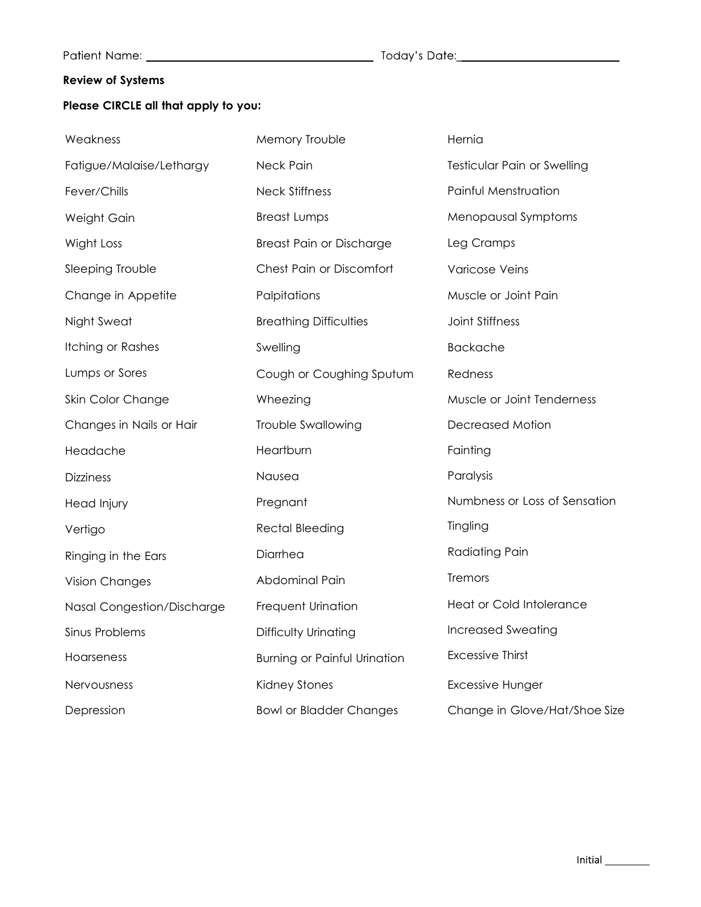## **Review of Systems**

# **Please CIRCLE all that apply to you:**

| Weakness                   | Memory Trouble                      | Hernia                        |
|----------------------------|-------------------------------------|-------------------------------|
| Fatigue/Malaise/Lethargy   | Neck Pain                           | Testicular Pain or Swelling   |
| Fever/Chills               | <b>Neck Stiffness</b>               | Painful Menstruation          |
| Weight Gain                | <b>Breast Lumps</b>                 | Menopausal Symptoms           |
| Wight Loss                 | <b>Breast Pain or Discharge</b>     | Leg Cramps                    |
| Sleeping Trouble           | Chest Pain or Discomfort            | Varicose Veins                |
| Change in Appetite         | Palpitations                        | Muscle or Joint Pain          |
| Night Sweat                | <b>Breathing Difficulties</b>       | Joint Stiffness               |
| <b>Itching or Rashes</b>   | Swelling                            | <b>Backache</b>               |
| Lumps or Sores             | Cough or Coughing Sputum            | Redness                       |
| Skin Color Change          | Wheezing                            | Muscle or Joint Tenderness    |
| Changes in Nails or Hair   | Trouble Swallowing                  | <b>Decreased Motion</b>       |
| Headache                   | Heartburn                           | Fainting                      |
| <b>Dizziness</b>           | Nausea                              | Paralysis                     |
| Head Injury                | Pregnant                            | Numbness or Loss of Sensation |
| Vertigo                    | <b>Rectal Bleeding</b>              | Tingling                      |
| Ringing in the Ears        | Diarrhea                            | <b>Radiating Pain</b>         |
| <b>Vision Changes</b>      | Abdominal Pain                      | <b>Tremors</b>                |
| Nasal Congestion/Discharge | Frequent Urination                  | Heat or Cold Intolerance      |
| Sinus Problems             | Difficulty Urinating                | <b>Increased Sweating</b>     |
| Hoarseness                 | <b>Burning or Painful Urination</b> | <b>Excessive Thirst</b>       |
| Nervousness                | Kidney Stones                       | <b>Excessive Hunger</b>       |
| Depression                 | <b>Bowl or Bladder Changes</b>      | Change in Glove/Hat/Shoe Size |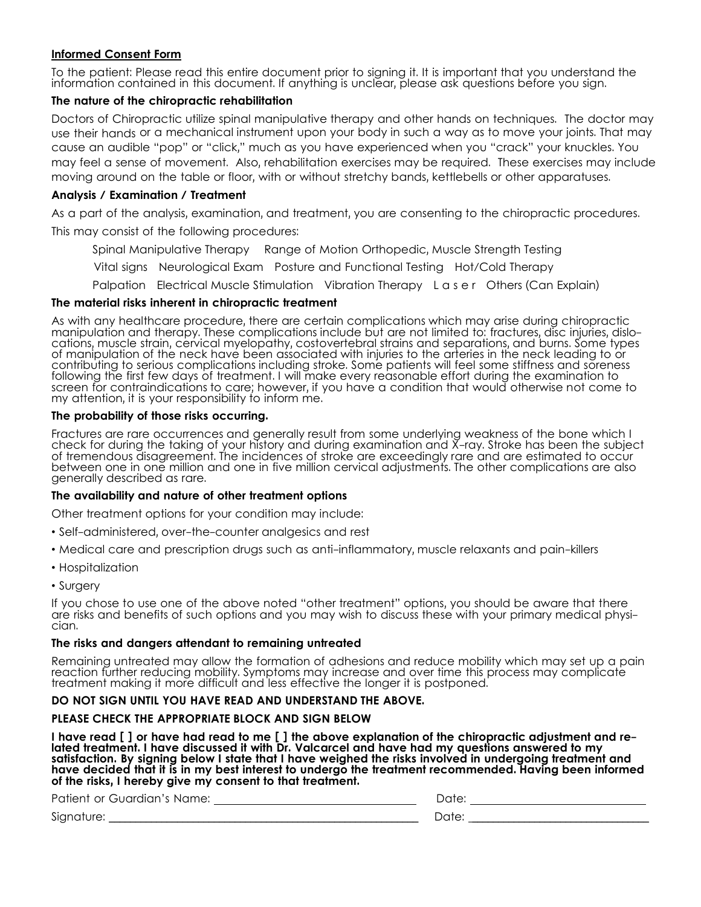## **Informed Consent Form**

To the patient: Please read this entire document prior to signing it. It is important that you understand the information contained in this document. If anything is unclear, please ask questions before you sign.

### **The nature of the chiropractic rehabilitation**

Doctors of Chiropractic utilize spinal manipulative therapy and other hands on techniques. The doctor may use their hands or a mechanical instrument upon your body in such a way as to move your joints. That may cause an audible "pop" or "click," much as you have experienced when you "crack" your knuckles. You may feel a sense of movement. Also, rehabilitation exercises may be required. These exercises may include moving around on the table or floor, with or without stretchy bands, kettlebells or other apparatuses.

### **Analysis / Examination / Treatment**

As a part of the analysis, examination, and treatment, you are consenting to the chiropractic procedures.

This may consist of the following procedures:

Spinal Manipulative Therapy Range of Motion Orthopedic, Muscle Strength Testing

Vital signs Neurological Exam Posture and Functional Testing Hot/Cold Therapy

Palpation Electrical Muscle Stimulation Vibration Therapy Laser Others (Can Explain)

#### **The material risks inherent in chiropractic treatment**

As with any healthcare procedure, there are certain complications which may arise during chiropractic manipulation and therapy. These complications include but are not limited to: fractures, disc injuries, dislocations, muscle strain, cervical myelopathy, costovertebral strains and separations, and burns. Some types of manipulation of the neck have been associated with injuries to the arteries in the neck leading to or contributing to serious complications including stroke. Some patients will feel some stiffness and soreness following the first few days of treatment. I will make every reasonable effort during the examination to screen for contraindications to care; however, if you have a condition that would otherwise not come to my attention, it is your responsibility to inform me.

#### **The probability of those risks occurring.**

Fractures are rare occurrences and generally result from some underlying weakness of the bone which I check for during the taking of your history and during examination and X-ray. Stroke has been the subject of tremendous disagreement. The incidences of stroke are exceedingly rare and are estimated to occur between one in one million and one in five million cervical adjustments. The other complications are also generally described as rare.

### **The availability and nature of other treatment options**

Other treatment options for your condition may include:

- Self-administered, over-the-counter analgesics and rest
- Medical care and prescription drugs such as anti-inflammatory, muscle relaxants and pain-killers
- Hospitalization
- Surgery

If you chose to use one of the above noted "other treatment" options, you should be aware that there are risks and benefits of such options and you may wish to discuss these with your primary medical physician.

### **The risks and dangers attendant to remaining untreated**

Remaining untreated may allow the formation of adhesions and reduce mobility which may set up a pain reaction further reducing mobility. Symptoms may increase and over time this process may complicate treatment making it more difficult and less effective the longer it is postponed.

### **DO NOT SIGN UNTIL YOU HAVE READ AND UNDERSTAND THE ABOVE.**

### **PLEASE CHECK THE APPROPRIATE BLOCK AND SIGN BELOW**

l have read [ ] or have had read to me [ ] the above explanation of the chiropractic adjustment and re**lated treatment. I have discussed it with Dr. Valcarcel and have had my questions answered to my satisfaction. By signing below I state that I have weighed the risks involved in undergoing treatment and have decided that it is in my best interest to undergo the treatment recommended. Having been informed of the risks, I hereby give my consent to that treatment.**

Patient or Guardian's Name: Date:

Signature: \_\_\_\_\_\_\_\_\_\_\_\_\_\_\_\_\_\_\_\_\_\_\_\_\_\_\_\_\_\_\_\_\_\_\_\_\_\_\_\_\_\_\_\_\_\_\_\_\_\_\_\_\_\_\_\_\_\_\_ Date: \_\_\_\_\_\_\_\_\_\_\_\_\_\_\_\_\_\_\_\_\_\_\_\_\_\_\_\_\_\_\_\_\_\_

| ſ I<br>×<br>٠ |
|---------------|
|---------------|